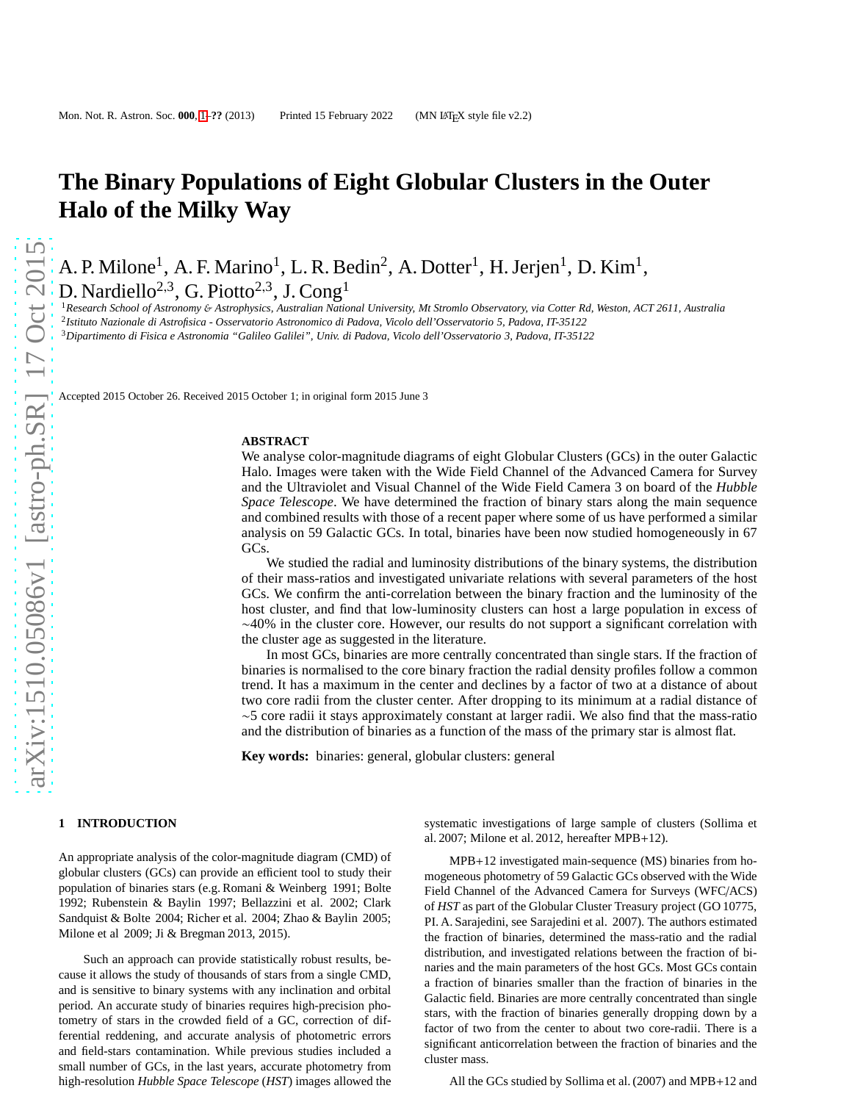# **The Binary Populations of Eight Globular Clusters in the Outer Halo of the Milky Way**

A. P. Milone<sup>1</sup>, A. F. Marino<sup>1</sup>, L. R. Bedin<sup>2</sup>, A. Dotter<sup>1</sup>, H. Jerjen<sup>1</sup>, D. Kim<sup>1</sup>, D. Nardiello<sup>2,3</sup>, G. Piotto<sup>2,3</sup>, J. Cong<sup>1</sup>

<sup>1</sup>*Research School of Astronomy* & *Astrophysics, Australian National University, Mt Stromlo Observatory, via Cotter Rd, Weston, ACT 2611, Australia* 2 *Istituto Nazionale di Astrofisica - Osservatorio Astronomico di Padova, Vicolo dell'Osservatorio 5, Padova, IT-35122*

<sup>3</sup>*Dipartimento di Fisica e Astronomia "Galileo Galilei", Univ. di Padova, Vicolo dell'Osservatorio 3, Padova, IT-35122*

Accepted 2015 October 26. Received 2015 October 1; in original form 2015 June 3

#### **ABSTRACT**

We analyse color-magnitude diagrams of eight Globular Clusters (GCs) in the outer Galactic Halo. Images were taken with the Wide Field Channel of the Advanced Camera for Survey and the Ultraviolet and Visual Channel of the Wide Field Camera 3 on board of the *Hubble Space Telescope*. We have determined the fraction of binary stars along the main sequence and combined results with those of a recent paper where some of us have performed a similar analysis on 59 Galactic GCs. In total, binaries have been now studied homogeneously in 67 GCs.

We studied the radial and luminosity distributions of the binary systems, the distribution of their mass-ratios and investigated univariate relations with several parameters of the host GCs. We confirm the anti-correlation between the binary fraction and the luminosity of the host cluster, and find that low-luminosity clusters can host a large population in excess of ∼40% in the cluster core. However, our results do not support a significant correlation with the cluster age as suggested in the literature.

In most GCs, binaries are more centrally concentrated than single stars. If the fraction of binaries is normalised to the core binary fraction the radial density profiles follow a common trend. It has a maximum in the center and declines by a factor of two at a distance of about two core radii from the cluster center. After dropping to its minimum at a radial distance of ∼5 core radii it stays approximately constant at larger radii. We also find that the mass-ratio and the distribution of binaries as a function of the mass of the primary star is almost flat.

**Key words:** binaries: general, globular clusters: general

## <span id="page-0-0"></span>**1 INTRODUCTION**

An appropriate analysis of the color-magnitude diagram (CMD) of globular clusters (GCs) can provide an efficient tool to study their population of binaries stars (e.g. Romani & Weinberg 1991; Bolte 1992; Rubenstein & Baylin 1997; Bellazzini et al. 2002; Clark Sandquist & Bolte 2004; Richer et al. 2004; Zhao & Baylin 2005; Milone et al 2009; Ji & Bregman 2013, 2015).

Such an approach can provide statistically robust results, because it allows the study of thousands of stars from a single CMD, and is sensitive to binary systems with any inclination and orbital period. An accurate study of binaries requires high-precision photometry of stars in the crowded field of a GC, correction of differential reddening, and accurate analysis of photometric errors and field-stars contamination. While previous studies included a small number of GCs, in the last years, accurate photometry from high-resolution *Hubble Space Telescope* (*HST*) images allowed the systematic investigations of large sample of clusters (Sollima et al. 2007; Milone et al. 2012, hereafter MPB+12).

MPB+12 investigated main-sequence (MS) binaries from homogeneous photometry of 59 Galactic GCs observed with the Wide Field Channel of the Advanced Camera for Surveys (WFC/ACS) of *HST* as part of the Globular Cluster Treasury project (GO 10775, PI. A. Sarajedini, see Sarajedini et al. 2007). The authors estimated the fraction of binaries, determined the mass-ratio and the radial distribution, and investigated relations between the fraction of binaries and the main parameters of the host GCs. Most GCs contain a fraction of binaries smaller than the fraction of binaries in the Galactic field. Binaries are more centrally concentrated than single stars, with the fraction of binaries generally dropping down by a factor of two from the center to about two core-radii. There is a significant anticorrelation between the fraction of binaries and the cluster mass.

All the GCs studied by Sollima et al. (2007) and MPB+12 and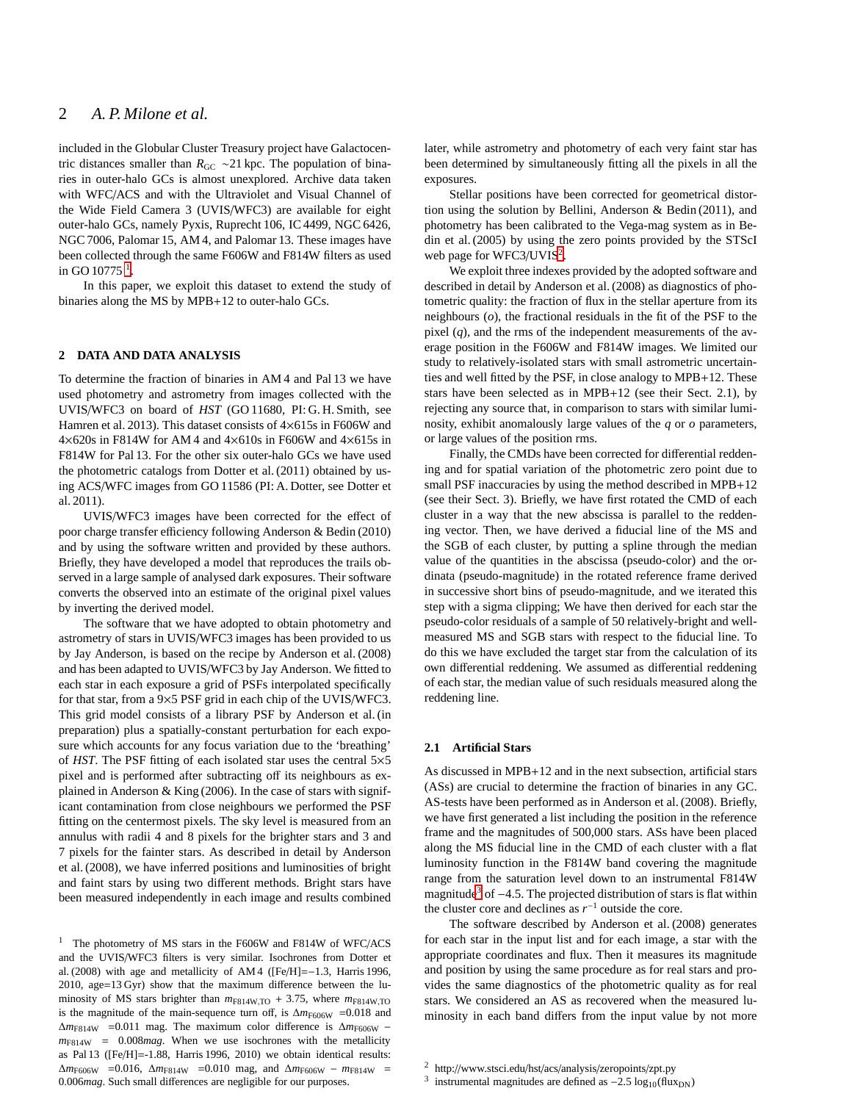# 2 *A. P. Milone et al.*

included in the Globular Cluster Treasury project have Galactocentric distances smaller than *R*<sub>GC</sub> ∼21 kpc. The population of binaries in outer-halo GCs is almost unexplored. Archive data taken with WFC/ACS and with the Ultraviolet and Visual Channel of the Wide Field Camera 3 (UVIS/WFC3) are available for eight outer-halo GCs, namely Pyxis, Ruprecht 106, IC 4499, NGC 6426, NGC 7006, Palomar 15, AM 4, and Palomar 13. These images have been collected through the same F606W and F814W filters as used in GO [1](#page-1-0)0775  $^1$ .

In this paper, we exploit this dataset to extend the study of binaries along the MS by MPB+12 to outer-halo GCs.

#### **2 DATA AND DATA ANALYSIS**

To determine the fraction of binaries in AM 4 and Pal 13 we have used photometry and astrometry from images collected with the UVIS/WFC3 on board of *HST* (GO 11680, PI: G. H. Smith, see Hamren et al. 2013). This dataset consists of  $4\times 615$ s in F606W and  $4\times620s$  in F814W for AM4 and  $4\times610s$  in F606W and  $4\times615s$  in F814W for Pal 13. For the other six outer-halo GCs we have used the photometric catalogs from Dotter et al. (2011) obtained by using ACS/WFC images from GO 11586 (PI: A. Dotter, see Dotter et al. 2011).

UVIS/WFC3 images have been corrected for the effect of poor charge transfer efficiency following Anderson & Bedin (2010) and by using the software written and provided by these authors. Briefly, they have developed a model that reproduces the trails observed in a large sample of analysed dark exposures. Their software converts the observed into an estimate of the original pixel values by inverting the derived model.

The software that we have adopted to obtain photometry and astrometry of stars in UVIS/WFC3 images has been provided to us by Jay Anderson, is based on the recipe by Anderson et al. (2008) and has been adapted to UVIS/WFC3 by Jay Anderson. We fitted to each star in each exposure a grid of PSFs interpolated specifically for that star, from a 9×5 PSF grid in each chip of the UVIS/WFC3. This grid model consists of a library PSF by Anderson et al. (in preparation) plus a spatially-constant perturbation for each exposure which accounts for any focus variation due to the 'breathing' of *HST*. The PSF fitting of each isolated star uses the central 5×5 pixel and is performed after subtracting off its neighbours as explained in Anderson & King (2006). In the case of stars with significant contamination from close neighbours we performed the PSF fitting on the centermost pixels. The sky level is measured from an annulus with radii 4 and 8 pixels for the brighter stars and 3 and 7 pixels for the fainter stars. As described in detail by Anderson et al. (2008), we have inferred positions and luminosities of bright and faint stars by using two different methods. Bright stars have been measured independently in each image and results combined later, while astrometry and photometry of each very faint star has been determined by simultaneously fitting all the pixels in all the exposures.

Stellar positions have been corrected for geometrical distortion using the solution by Bellini, Anderson & Bedin (2011), and photometry has been calibrated to the Vega-mag system as in Bedin et al. (2005) by using the zero points provided by the STScI web page for WFC3/UVIS<sup>[2](#page-1-1)</sup>.

We exploit three indexes provided by the adopted software and described in detail by Anderson et al. (2008) as diagnostics of photometric quality: the fraction of flux in the stellar aperture from its neighbours (*o*), the fractional residuals in the fit of the PSF to the pixel (*q*), and the rms of the independent measurements of the average position in the F606W and F814W images. We limited our study to relatively-isolated stars with small astrometric uncertainties and well fitted by the PSF, in close analogy to MPB+12. These stars have been selected as in MPB+12 (see their Sect. 2.1), by rejecting any source that, in comparison to stars with similar luminosity, exhibit anomalously large values of the *q* or *o* parameters, or large values of the position rms.

Finally, the CMDs have been corrected for differential reddening and for spatial variation of the photometric zero point due to small PSF inaccuracies by using the method described in MPB+12 (see their Sect. 3). Briefly, we have first rotated the CMD of each cluster in a way that the new abscissa is parallel to the reddening vector. Then, we have derived a fiducial line of the MS and the SGB of each cluster, by putting a spline through the median value of the quantities in the abscissa (pseudo-color) and the ordinata (pseudo-magnitude) in the rotated reference frame derived in successive short bins of pseudo-magnitude, and we iterated this step with a sigma clipping; We have then derived for each star the pseudo-color residuals of a sample of 50 relatively-bright and wellmeasured MS and SGB stars with respect to the fiducial line. To do this we have excluded the target star from the calculation of its own differential reddening. We assumed as differential reddening of each star, the median value of such residuals measured along the reddening line.

#### <span id="page-1-3"></span>**2.1 Artificial Stars**

As discussed in MPB+12 and in the next subsection, artificial stars (ASs) are crucial to determine the fraction of binaries in any GC. AS-tests have been performed as in Anderson et al. (2008). Briefly, we have first generated a list including the position in the reference frame and the magnitudes of 500,000 stars. ASs have been placed along the MS fiducial line in the CMD of each cluster with a flat luminosity function in the F814W band covering the magnitude range from the saturation level down to an instrumental F814W magnitude<sup>[3](#page-1-2)</sup> of  $-4.5$ . The projected distribution of stars is flat within the cluster core and declines as  $r^{-1}$  outside the core.

The software described by Anderson et al. (2008) generates for each star in the input list and for each image, a star with the appropriate coordinates and flux. Then it measures its magnitude and position by using the same procedure as for real stars and provides the same diagnostics of the photometric quality as for real stars. We considered an AS as recovered when the measured luminosity in each band differs from the input value by not more

<span id="page-1-0"></span><sup>&</sup>lt;sup>1</sup> The photometry of MS stars in the F606W and F814W of WFC/ACS and the UVIS/WFC3 filters is very similar. Isochrones from Dotter et al. (2008) with age and metallicity of AM 4 ([Fe/H]=−1.3, Harris 1996, 2010, age=13 Gyr) show that the maximum difference between the luminosity of MS stars brighter than  $m_{F814W,TO}$  + 3.75, where  $m_{F814W,TO}$ is the magnitude of the main-sequence turn off, is  $\Delta m_{\text{F606W}} = 0.018$  and ∆*m*F814W =0.011 mag. The maximum color difference is ∆*m*F606W − *m*F814W = 0.008*mag*. When we use isochrones with the metallicity as Pal 13 ([Fe/H]=-1.88, Harris 1996, 2010) we obtain identical results: ∆*m*F606W =0.016, ∆*m*F814W =0.010 mag, and ∆*m*F606W − *m*F814W = 0.006*mag*. Such small differences are negligible for our purposes.

<sup>2</sup> http://www.stsci.edu/hst/acs/analysis/zeropoints/zpt.py

<span id="page-1-2"></span><span id="page-1-1"></span><sup>&</sup>lt;sup>3</sup> instrumental magnitudes are defined as  $-2.5 \log_{10}(\text{flux}_{DN})$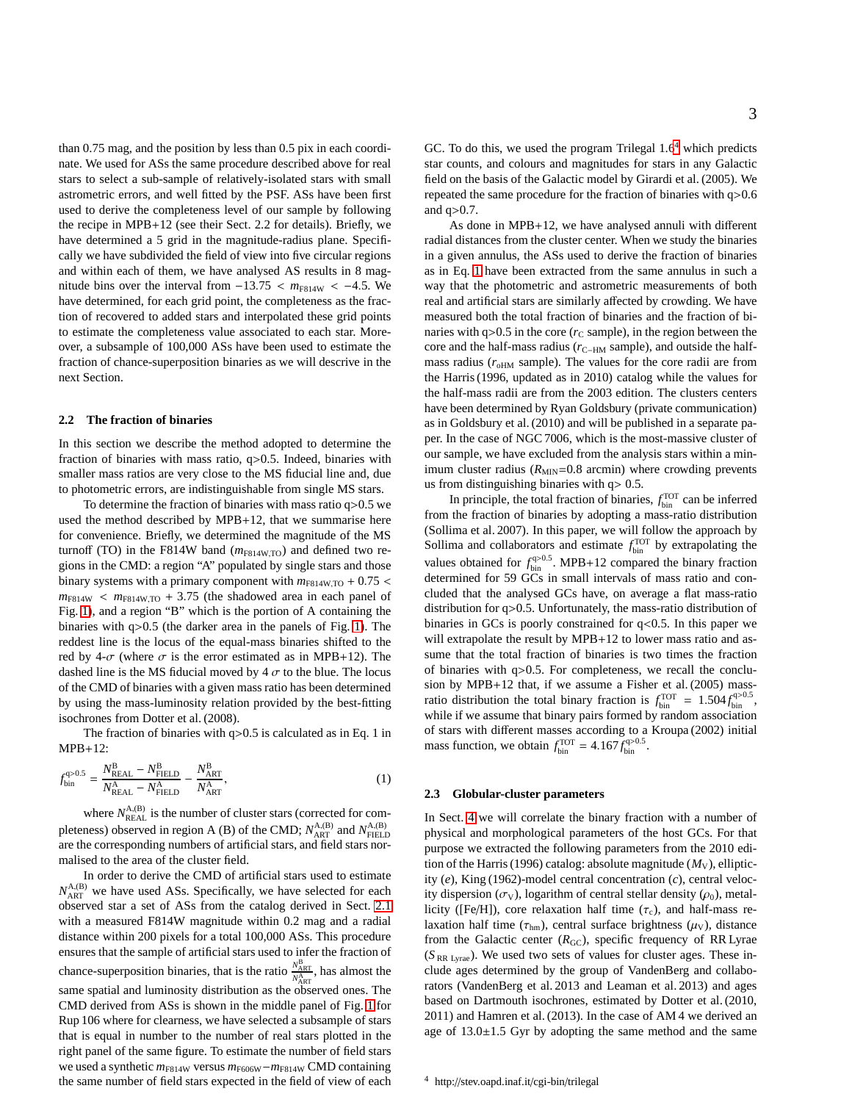than 0.75 mag, and the position by less than 0.5 pix in each coordinate. We used for ASs the same procedure described above for real stars to select a sub-sample of relatively-isolated stars with small astrometric errors, and well fitted by the PSF. ASs have been first used to derive the completeness level of our sample by following the recipe in MPB+12 (see their Sect. 2.2 for details). Briefly, we have determined a 5 grid in the magnitude-radius plane. Specifically we have subdivided the field of view into five circular regions and within each of them, we have analysed AS results in 8 magnitude bins over the interval from  $-13.75 < m<sub>F814W</sub> < -4.5$ . We have determined, for each grid point, the completeness as the fraction of recovered to added stars and interpolated these grid points to estimate the completeness value associated to each star. Moreover, a subsample of 100,000 ASs have been used to estimate the fraction of chance-superposition binaries as we will descrive in the next Section.

## **2.2 The fraction of binaries**

In this section we describe the method adopted to determine the fraction of binaries with mass ratio, q>0.5. Indeed, binaries with smaller mass ratios are very close to the MS fiducial line and, due to photometric errors, are indistinguishable from single MS stars.

To determine the fraction of binaries with mass ratio q>0.5 we used the method described by MPB+12, that we summarise here for convenience. Briefly, we determined the magnitude of the MS turnoff (TO) in the F814W band ( $m_{F814W,TO}$ ) and defined two regions in the CMD: a region "A" populated by single stars and those binary systems with a primary component with  $m_{F814W,TO}$  + 0.75 <  $m_{F814W}$  <  $m_{F814W,TO}$  + 3.75 (the shadowed area in each panel of Fig. [1\)](#page-3-0), and a region "B" which is the portion of A containing the binaries with q>0.5 (the darker area in the panels of Fig. [1\)](#page-3-0). The reddest line is the locus of the equal-mass binaries shifted to the red by 4- $\sigma$  (where  $\sigma$  is the error estimated as in MPB+12). The dashed line is the MS fiducial moved by  $4 \sigma$  to the blue. The locus of the CMD of binaries with a given mass ratio has been determined by using the mass-luminosity relation provided by the best-fitting isochrones from Dotter et al. (2008).

The fraction of binaries with q>0.5 is calculated as in Eq. 1 in MPB+12:

<span id="page-2-1"></span>
$$
f_{\text{bin}}^{\text{q}>0.5} = \frac{N_{\text{REAL}}^{\text{B}} - N_{\text{FIELD}}^{\text{B}}}{N_{\text{REAL}}^{\text{A}} - N_{\text{FIELD}}^{\text{A}}} - \frac{N_{\text{ART}}^{\text{B}}}{N_{\text{ART}}^{\text{A}}},\tag{1}
$$

where  $N_{\text{REAL}}^{\text{A,B}}$  is the number of cluster stars (corrected for completeness) observed in region A (B) of the CMD;  $N_{\text{ART}}^{\text{A,B}}$  and  $N_{\text{FIED}}^{\text{A,B}}$ are the corresponding numbers of artificial stars, and field stars normalised to the area of the cluster field.

In order to derive the CMD of artificial stars used to estimate  $N_{\text{ART}}^{A,(B)}$  we have used ASs. Specifically, we have selected for each observed star a set of ASs from the catalog derived in Sect. [2.1](#page-1-3) with a measured F814W magnitude within 0.2 mag and a radial distance within 200 pixels for a total 100,000 ASs. This procedure ensures that the sample of artificial stars used to infer the fraction of chance-superposition binaries, that is the ratio  $\frac{N_{ART}^{B}}{N_{ART}}$ , has almost the same spatial and luminosity distribution as the observed ones. The CMD derived from ASs is shown in the middle panel of Fig. [1](#page-3-0) for Rup 106 where for clearness, we have selected a subsample of stars that is equal in number to the number of real stars plotted in the right panel of the same figure. To estimate the number of field stars we used a synthetic  $m_{F814W}$  versus  $m_{F606W}-m_{F814W}$  CMD containing the same number of field stars expected in the field of view of each GC. To do this, we used the program Trilegal  $1.6<sup>4</sup>$  $1.6<sup>4</sup>$  $1.6<sup>4</sup>$  which predicts star counts, and colours and magnitudes for stars in any Galactic field on the basis of the Galactic model by Girardi et al. (2005). We repeated the same procedure for the fraction of binaries with q>0.6 and q>0.7.

As done in MPB+12, we have analysed annuli with different radial distances from the cluster center. When we study the binaries in a given annulus, the ASs used to derive the fraction of binaries as in Eq. [1](#page-2-1) have been extracted from the same annulus in such a way that the photometric and astrometric measurements of both real and artificial stars are similarly affected by crowding. We have measured both the total fraction of binaries and the fraction of binaries with  $q>0.5$  in the core ( $r<sub>C</sub>$  sample), in the region between the core and the half-mass radius ( $r_{\text{C-HM}}$  sample), and outside the halfmass radius  $(r<sub>oHM</sub> sample)$ . The values for the core radii are from the Harris (1996, updated as in 2010) catalog while the values for the half-mass radii are from the 2003 edition. The clusters centers have been determined by Ryan Goldsbury (private communication) as in Goldsbury et al. (2010) and will be published in a separate paper. In the case of NGC 7006, which is the most-massive cluster of our sample, we have excluded from the analysis stars within a minimum cluster radius  $(R<sub>MIN</sub>=0.8$  arcmin) where crowding prevents us from distinguishing binaries with  $q$  > 0.5.

In principle, the total fraction of binaries,  $f_{\text{bin}}^{\text{TOT}}$  can be inferred from the fraction of binaries by adopting a mass-ratio distribution (Sollima et al. 2007). In this paper, we will follow the approach by Sollima and collaborators and estimate  $f_{\text{bin}}^{\text{TOT}}$  by extrapolating the values obtained for  $f_{\text{bin}}^{q>0.5}$ . MPB+12 compared the binary fraction determined for 59 GCs in small intervals of mass ratio and concluded that the analysed GCs have, on average a flat mass-ratio distribution for q>0.5. Unfortunately, the mass-ratio distribution of binaries in GCs is poorly constrained for  $q<0.5$ . In this paper we will extrapolate the result by MPB+12 to lower mass ratio and assume that the total fraction of binaries is two times the fraction of binaries with q>0.5. For completeness, we recall the conclusion by MPB+12 that, if we assume a Fisher et al. (2005) massratio distribution the total binary fraction is  $f_{\text{bin}}^{\text{TOT}} = 1.504 f_{\text{bin}}^{q>0.5}$ , while if we assume that binary pairs formed by random association of stars with different masses according to a Kroupa (2002) initial mass function, we obtain  $f_{\text{bin}}^{\text{TOT}} = 4.167 f_{\text{bin}}^{q>0.5}$ .

#### <span id="page-2-2"></span>**2.3 Globular-cluster parameters**

<span id="page-2-0"></span>In Sect. [4](#page-6-0) we will correlate the binary fraction with a number of physical and morphological parameters of the host GCs. For that purpose we extracted the following parameters from the 2010 edition of the Harris (1996) catalog: absolute magnitude  $(M_V)$ , ellipticity (*e*), King (1962)-model central concentration (*c*), central velocity dispersion ( $\sigma$ <sub>V</sub>), logarithm of central stellar density ( $\rho$ <sub>0</sub>), metallicity ([Fe/H]), core relaxation half time  $(\tau_c)$ , and half-mass relaxation half time ( $\tau_{hm}$ ), central surface brightness ( $\mu_V$ ), distance from the Galactic center  $(R_{\text{GC}})$ , specific frequency of RR Lyrae  $(S_{RR\;Lyrae})$ . We used two sets of values for cluster ages. These include ages determined by the group of VandenBerg and collaborators (VandenBerg et al. 2013 and Leaman et al. 2013) and ages based on Dartmouth isochrones, estimated by Dotter et al. (2010, 2011) and Hamren et al. (2013). In the case of AM 4 we derived an age of  $13.0 \pm 1.5$  Gyr by adopting the same method and the same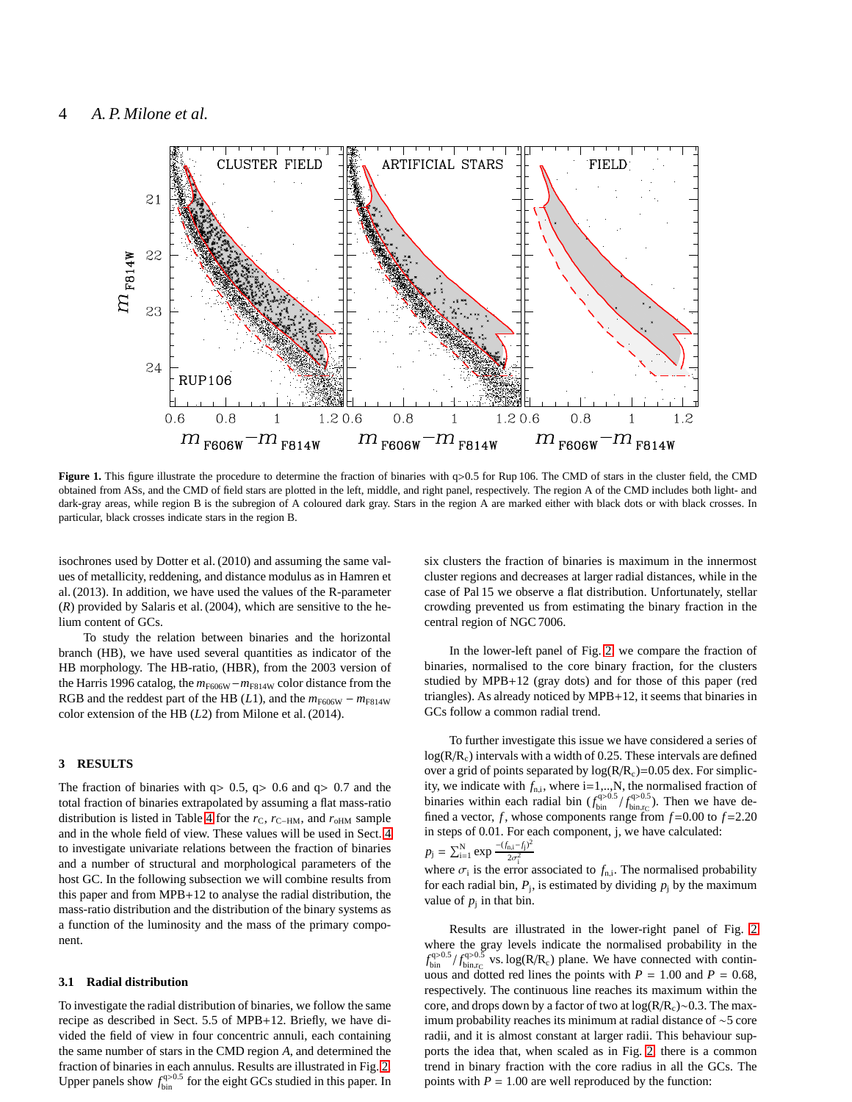

<span id="page-3-0"></span>**Figure 1.** This figure illustrate the procedure to determine the fraction of binaries with q>0.5 for Rup 106. The CMD of stars in the cluster field, the CMD obtained from ASs, and the CMD of field stars are plotted in the left, middle, and right panel, respectively. The region A of the CMD includes both light- and dark-gray areas, while region B is the subregion of A coloured dark gray. Stars in the region A are marked either with black dots or with black crosses. In particular, black crosses indicate stars in the region B.

isochrones used by Dotter et al. (2010) and assuming the same values of metallicity, reddening, and distance modulus as in Hamren et al. (2013). In addition, we have used the values of the R-parameter (*R*) provided by Salaris et al. (2004), which are sensitive to the helium content of GCs.

To study the relation between binaries and the horizontal branch (HB), we have used several quantities as indicator of the HB morphology. The HB-ratio, (HBR), from the 2003 version of the Harris 1996 catalog, the  $m_{F606W}$  −  $m_{F814W}$  color distance from the RGB and the reddest part of the HB ( $L1$ ), and the  $m_{F606W} - m_{F814W}$ color extension of the HB (*L*2) from Milone et al. (2014).

## **3 RESULTS**

The fraction of binaries with  $q > 0.5$ ,  $q > 0.6$  and  $q > 0.7$  and the total fraction of binaries extrapolated by assuming a flat mass-ratio distribution is listed in Table [4](#page-10-0) for the  $r_{\rm C}$ ,  $r_{\rm C-HM}$ , and  $r_{\rm oHM}$  sample and in the whole field of view. These values will be used in Sect. [4](#page-6-0) to investigate univariate relations between the fraction of binaries and a number of structural and morphological parameters of the host GC. In the following subsection we will combine results from this paper and from MPB+12 to analyse the radial distribution, the mass-ratio distribution and the distribution of the binary systems as a function of the luminosity and the mass of the primary component.

#### **3.1 Radial distribution**

To investigate the radial distribution of binaries, we follow the same recipe as described in Sect. 5.5 of MPB+12. Briefly, we have divided the field of view in four concentric annuli, each containing the same number of stars in the CMD region *A*, and determined the fraction of binaries in each annulus. Results are illustrated in Fig. [2.](#page-5-0) Upper panels show  $f_{\text{bin}}^{q>0.5}$  for the eight GCs studied in this paper. In

six clusters the fraction of binaries is maximum in the innermost cluster regions and decreases at larger radial distances, while in the case of Pal 15 we observe a flat distribution. Unfortunately, stellar crowding prevented us from estimating the binary fraction in the central region of NGC 7006.

In the lower-left panel of Fig. [2,](#page-5-0) we compare the fraction of binaries, normalised to the core binary fraction, for the clusters studied by MPB+12 (gray dots) and for those of this paper (red triangles). As already noticed by MPB+12, it seems that binaries in GCs follow a common radial trend.

To further investigate this issue we have considered a series of  $log(R/R<sub>c</sub>)$  intervals with a width of 0.25. These intervals are defined over a grid of points separated by  $log(R/R<sub>c</sub>)=0.05$  dex. For simplicity, we indicate with  $f_{n,i}$ , where  $i=1,...,N$ , the normalised fraction of binaries within each radial bin  $(f_{\text{bin}}^{q>0.5}/f_{\text{bin},r_C}^{q>0.5})$ . Then we have defined a vector,  $f$ , whose components range from  $f=0.00$  to  $f=2.20$ in steps of 0.01. For each component, j, we have calculated: 2

$$
p_j = \sum_{i=1}^{N} \exp \frac{-(f_{n,i} - f_j)^2}{2\sigma_i^2}
$$

where  $\sigma_i$  is the error associated to  $f_{n,i}$ . The normalised probability for each radial bin,  $P_j$ , is estimated by dividing  $p_j$  by the maximum value of  $p_j$  in that bin.

Results are illustrated in the lower-right panel of Fig. [2](#page-5-0) where the gray levels indicate the normalised probability in the  $f_{\text{bin}}^{q>0.5}/f_{\text{bin},r_C}^{q>0.5}$  vs. log(R/R<sub>c</sub>) plane. We have connected with continuous and dotted red lines the points with  $P = 1.00$  and  $P = 0.68$ , respectively. The continuous line reaches its maximum within the core, and drops down by a factor of two at log(R/R<sub>c</sub>)∼0.3. The maximum probability reaches its minimum at radial distance of ∼5 core radii, and it is almost constant at larger radii. This behaviour supports the idea that, when scaled as in Fig. [2,](#page-5-0) there is a common trend in binary fraction with the core radius in all the GCs. The points with  $P = 1.00$  are well reproduced by the function: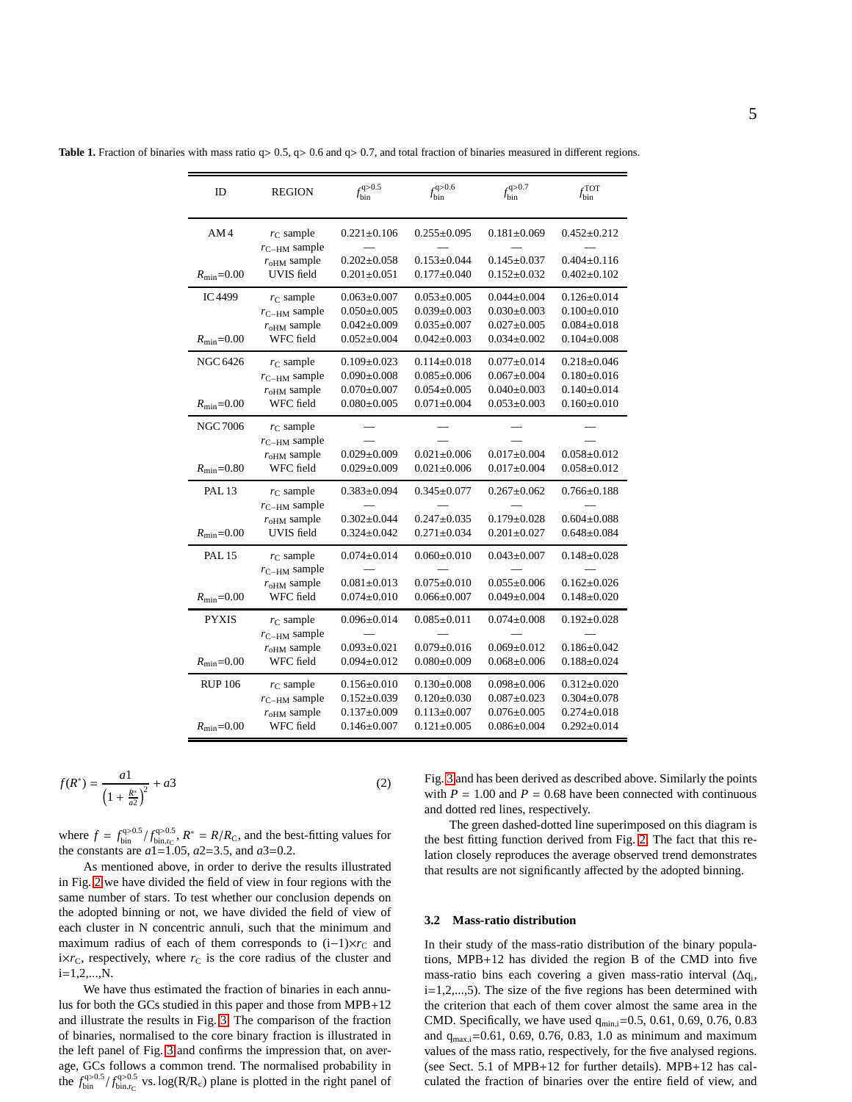**Table 1.** Fraction of binaries with mass ratio q> 0.5, q> 0.6 and q> 0.7, and total fraction of binaries measured in different regions.

| ID                      | <b>REGION</b>                                           | $f_{\text{bin}}^{q>0.5}$               | $f_{\text{bin}}^{q>0.6}$             | $f_{\text{bin}}^{q>0.7}$               | $f_{\text{bin}}^{\text{TOT}}$          |
|-------------------------|---------------------------------------------------------|----------------------------------------|--------------------------------------|----------------------------------------|----------------------------------------|
| AM4                     | $r_{\rm C}$ sample                                      | $0.221 \pm 0.106$                      | $0.255 \pm 0.095$                    | $0.181 \pm 0.069$                      | $0.452 \pm 0.212$                      |
| $R_{\text{min}} = 0.00$ | $r_{\text{C-HM}}$ sample<br>$roHM$ sample<br>UVIS field | $0.202 \pm 0.058$<br>$0.201 \pm 0.051$ | $0.153 \pm 0.044$<br>$0.177 + 0.040$ | $0.145 \pm 0.037$<br>$0.152 \pm 0.032$ | $0.404 \pm 0.116$<br>$0.402 \pm 0.102$ |
| IC4499                  | $r_{\rm C}$ sample                                      | $0.063 \pm 0.007$                      | $0.053 \pm 0.005$                    | $0.044 \pm 0.004$                      | $0.126 \pm 0.014$                      |
|                         | $r_{\text{C-HM}}$ sample                                | $0.050 \pm 0.005$                      | $0.039 \pm 0.003$                    | $0.030 \pm 0.003$                      | $0.100 \pm 0.010$                      |
| $R_{\rm min} = 0.00$    | $roHM$ sample                                           | $0.042 \pm 0.009$                      | $0.035 \pm 0.007$                    | $0.027 \pm 0.005$                      | $0.084 \pm 0.018$                      |
|                         | WFC field                                               | $0.052 \pm 0.004$                      | $0.042 \pm 0.003$                    | $0.034 \pm 0.002$                      | $0.104 \pm 0.008$                      |
| NGC 6426                | $r_{\rm C}$ sample                                      | $0.109 \pm 0.023$                      | $0.114 \pm 0.018$                    | $0.077 \pm 0.014$                      | $0.218 \pm 0.046$                      |
|                         | $r_{\text{C-HM}}$ sample                                | $0.090 \pm 0.008$                      | $0.085 \pm 0.006$                    | $0.067 \pm 0.004$                      | $0.180 \pm 0.016$                      |
| $R_{\text{min}} = 0.00$ | $roHM$ sample                                           | $0.070 \pm 0.007$                      | $0.054 \pm 0.005$                    | $0.040 \pm 0.003$                      | $0.140 \pm 0.014$                      |
|                         | WFC field                                               | $0.080 + 0.005$                        | $0.071 \pm 0.004$                    | $0.053 \pm 0.003$                      | $0.160 \pm 0.010$                      |
| NGC 7006                | $r_{\rm C}$ sample<br>$r_{\text{C-HM}}$ sample          |                                        |                                      |                                        |                                        |
| $R_{\rm min} = 0.80$    | $roHM$ sample                                           | $0.029 \pm 0.009$                      | $0.021 \pm 0.006$                    | $0.017 \pm 0.004$                      | $0.058 \pm 0.012$                      |
|                         | WFC field                                               | $0.029 \pm 0.009$                      | $0.021 \pm 0.006$                    | $0.017 \pm 0.004$                      | $0.058 \pm 0.012$                      |
| <b>PAL 13</b>           | $r_{\rm C}$ sample<br>$r_{\text{C-HM}}$ sample          | $0.383 \pm 0.094$                      | $0.345 \pm 0.077$                    | $0.267 \pm 0.062$                      | $0.766 \pm 0.188$                      |
| $R_{\text{min}} = 0.00$ | $roHM$ sample                                           | $0.302 \pm 0.044$                      | $0.247 + 0.035$                      | $0.179 + 0.028$                        | $0.604 \pm 0.088$                      |
|                         | UVIS field                                              | $0.324 \pm 0.042$                      | $0.271 \pm 0.034$                    | $0.201 \pm 0.027$                      | $0.648 \pm 0.084$                      |
| <b>PAL 15</b>           | $r_{\rm C}$ sample<br>$r_{\text{C-HM}}$ sample          | $0.074 \pm 0.014$                      | $0.060 \pm 0.010$                    | $0.043 \pm 0.007$                      | $0.148 \pm 0.028$                      |
| $R_{\text{min}} = 0.00$ | $r_{\rm oHM}$ sample                                    | $0.081 \pm 0.013$                      | $0.075 \pm 0.010$                    | $0.055 \pm 0.006$                      | $0.162 \pm 0.026$                      |
|                         | WFC field                                               | $0.074 \pm 0.010$                      | $0.066 \pm 0.007$                    | $0.049 \pm 0.004$                      | $0.148 + 0.020$                        |
| <b>PYXIS</b>            | $r_{\rm C}$ sample<br>$r_{\text{C-HM}}$ sample          | $0.096 \pm 0.014$                      | $0.085 \pm 0.011$                    | $0.074 \pm 0.008$                      | $0.192 \pm 0.028$                      |
| $R_{\text{min}} = 0.00$ | $r_{\text{oHM}}$ sample                                 | $0.093 \pm 0.021$                      | $0.079 \pm 0.016$                    | $0.069 \pm 0.012$                      | $0.186 \pm 0.042$                      |
|                         | WFC field                                               | $0.094 \pm 0.012$                      | $0.080 \pm 0.009$                    | $0.068 \pm 0.006$                      | $0.188 + 0.024$                        |
| <b>RUP 106</b>          | $r_{\rm C}$ sample                                      | $0.156 \pm 0.010$                      | $0.130 \pm 0.008$                    | $0.098 \pm 0.006$                      | $0.312 \pm 0.020$                      |
|                         | $r_{\text{C-HM}}$ sample                                | $0.152 \pm 0.039$                      | $0.120 \pm 0.030$                    | $0.087 + 0.023$                        | $0.304 \pm 0.078$                      |
| $R_{\text{min}} = 0.00$ | $roHM$ sample                                           | $0.137 \pm 0.009$                      | $0.113 \pm 0.007$                    | $0.076 \pm 0.005$                      | $0.274 \pm 0.018$                      |
|                         | WFC field                                               | $0.146 \pm 0.007$                      | $0.121 \pm 0.005$                    | $0.086 \pm 0.004$                      | $0.292 \pm 0.014$                      |

$$
f(R^*) = \frac{a_1}{\left(1 + \frac{R^*}{a_2}\right)^2} + a_3\tag{2}
$$

where  $f = f_{\text{bin}}^{q>0.5} / f_{\text{bin},rc}^{q>0.5}$ ,  $R^* = R/R_C$ , and the best-fitting values for the constants are *a*1=1.05, *a*2=3.5, and *a*3=0.2.

As mentioned above, in order to derive the results illustrated in Fig. [2](#page-5-0) we have divided the field of view in four regions with the same number of stars. To test whether our conclusion depends on the adopted binning or not, we have divided the field of view of each cluster in N concentric annuli, such that the minimum and maximum radius of each of them corresponds to  $(i-1)\times r_C$  and  $i \times r_C$ , respectively, where  $r_C$  is the core radius of the cluster and  $i=1,2,...,N$ .

We have thus estimated the fraction of binaries in each annulus for both the GCs studied in this paper and those from MPB+12 and illustrate the results in Fig. [3.](#page-5-1) The comparison of the fraction of binaries, normalised to the core binary fraction is illustrated in the left panel of Fig. [3](#page-5-1) and confirms the impression that, on average, GCs follows a common trend. The normalised probability in the  $f_{\text{bin}}^{q>0.5}/f_{\text{bin},r_C}^{q>0.5}$  vs. log(R/R<sub>c</sub>) plane is plotted in the right panel of

Fig. [3](#page-5-1) and has been derived as described above. Similarly the points with  $P = 1.00$  and  $P = 0.68$  have been connected with continuous and dotted red lines, respectively.

The green dashed-dotted line superimposed on this diagram is the best fitting function derived from Fig. [2.](#page-5-0) The fact that this relation closely reproduces the average observed trend demonstrates that results are not significantly affected by the adopted binning.

#### **3.2 Mass-ratio distribution**

In their study of the mass-ratio distribution of the binary populations, MPB+12 has divided the region B of the CMD into five mass-ratio bins each covering a given mass-ratio interval (∆q<sup>i</sup> , i=1,2,...,5). The size of the five regions has been determined with the criterion that each of them cover almost the same area in the CMD. Specifically, we have used  $q_{min,i}=0.5, 0.61, 0.69, 0.76, 0.83$ and  $q_{max,i}$ =0.61, 0.69, 0.76, 0.83, 1.0 as minimum and maximum values of the mass ratio, respectively, for the five analysed regions. (see Sect. 5.1 of MPB+12 for further details). MPB+12 has calculated the fraction of binaries over the entire field of view, and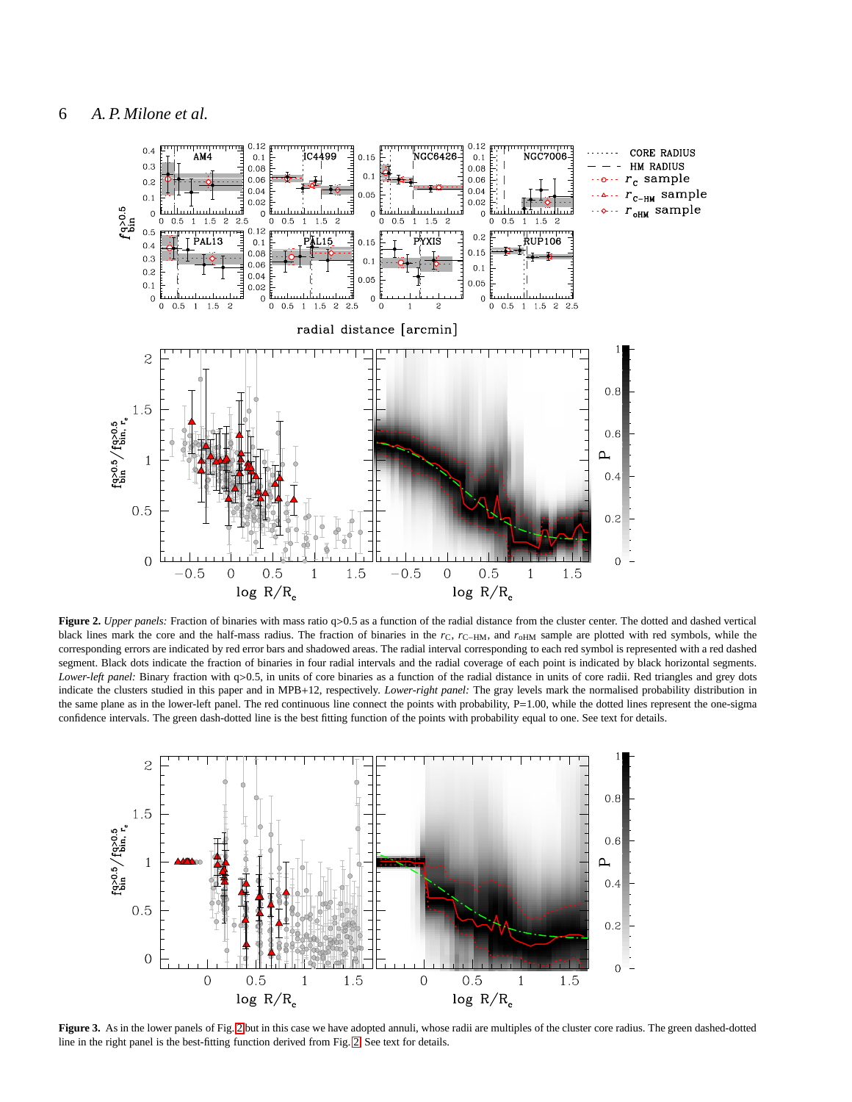

<span id="page-5-0"></span>**Figure 2.** *Upper panels:* Fraction of binaries with mass ratio q>0.5 as a function of the radial distance from the cluster center. The dotted and dashed vertical black lines mark the core and the half-mass radius. The fraction of binaries in the *r*<sub>C</sub>, *r*<sub>C−HM</sub>, and *r*<sub>oHM</sub> sample are plotted with red symbols, while the corresponding errors are indicated by red error bars and shadowed areas. The radial interval corresponding to each red symbol is represented with a red dashed segment. Black dots indicate the fraction of binaries in four radial intervals and the radial coverage of each point is indicated by black horizontal segments. *Lower-left panel:* Binary fraction with q>0.5, in units of core binaries as a function of the radial distance in units of core radii. Red triangles and grey dots indicate the clusters studied in this paper and in MPB+12, respectively. *Lower-right panel:* The gray levels mark the normalised probability distribution in the same plane as in the lower-left panel. The red continuous line connect the points with probability, P=1.00, while the dotted lines represent the one-sigma confidence intervals. The green dash-dotted line is the best fitting function of the points with probability equal to one. See text for details.



<span id="page-5-1"></span>**Figure 3.** As in the lower panels of Fig. [2](#page-5-0) but in this case we have adopted annuli, whose radii are multiples of the cluster core radius. The green dashed-dotted line in the right panel is the best-fitting function derived from Fig. [2.](#page-5-0) See text for details.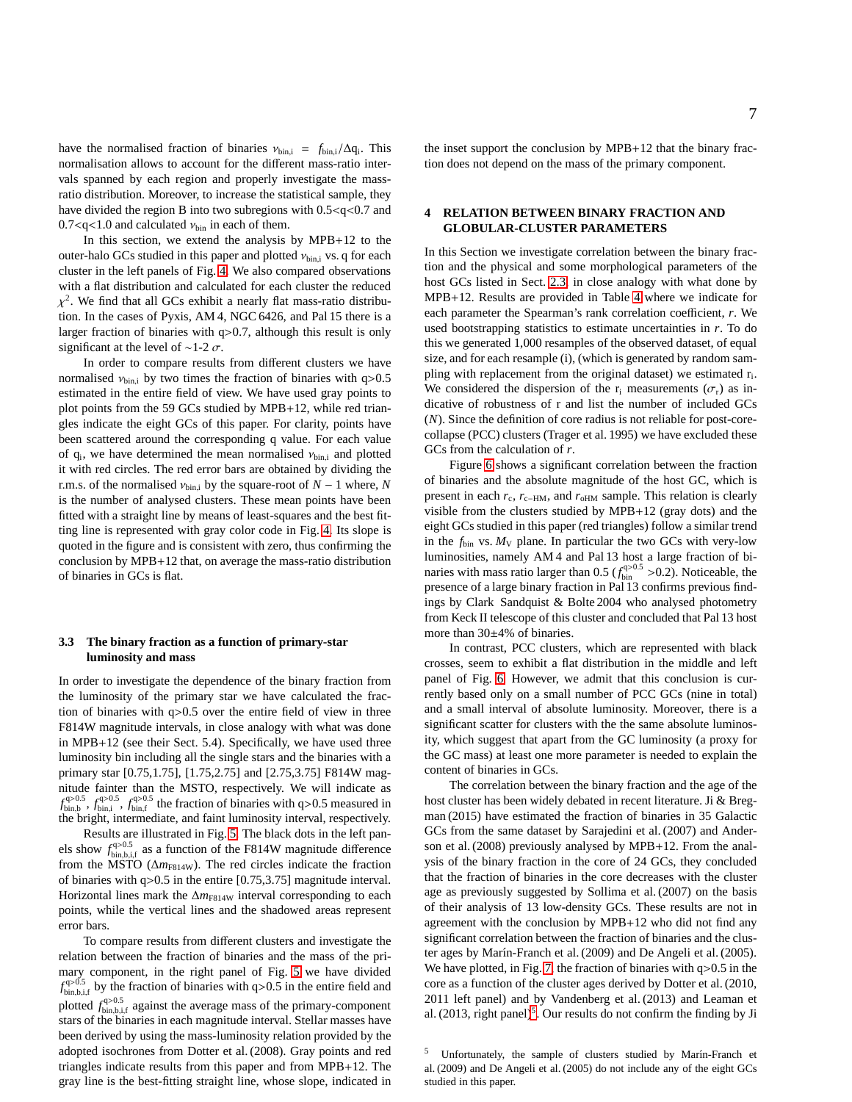have the normalised fraction of binaries  $v_{bin,i} = f_{bin,i}/\Delta q_i$ . This normalisation allows to account for the different mass-ratio intervals spanned by each region and properly investigate the massratio distribution. Moreover, to increase the statistical sample, they have divided the region B into two subregions with  $0.5 < q < 0.7$  and  $0.7 < q < 1.0$  and calculated  $v_{\text{bin}}$  in each of them.

In this section, we extend the analysis by MPB+12 to the outer-halo GCs studied in this paper and plotted  $v_{\text{bin,i}}$  vs. q for each cluster in the left panels of Fig. [4.](#page-7-0) We also compared observations with a flat distribution and calculated for each cluster the reduced  $\chi^2$ . We find that all GCs exhibit a nearly flat mass-ratio distribution. In the cases of Pyxis, AM 4, NGC 6426, and Pal 15 there is a larger fraction of binaries with q>0.7, although this result is only significant at the level of ~1-2  $\sigma$ .

In order to compare results from different clusters we have normalised  $v_{\text{bin,i}}$  by two times the fraction of binaries with q>0.5 estimated in the entire field of view. We have used gray points to plot points from the 59 GCs studied by MPB+12, while red triangles indicate the eight GCs of this paper. For clarity, points have been scattered around the corresponding q value. For each value of  $q_i$ , we have determined the mean normalised  $v_{bin,i}$  and plotted it with red circles. The red error bars are obtained by dividing the r.m.s. of the normalised  $v_{\text{bin,i}}$  by the square-root of  $N-1$  where,  $N$ is the number of analysed clusters. These mean points have been fitted with a straight line by means of least-squares and the best fitting line is represented with gray color code in Fig. [4.](#page-7-0) Its slope is quoted in the figure and is consistent with zero, thus confirming the conclusion by MPB+12 that, on average the mass-ratio distribution of binaries in GCs is flat.

## **3.3 The binary fraction as a function of primary-star luminosity and mass**

In order to investigate the dependence of the binary fraction from the luminosity of the primary star we have calculated the fraction of binaries with q>0.5 over the entire field of view in three F814W magnitude intervals, in close analogy with what was done in MPB+12 (see their Sect. 5.4). Specifically, we have used three luminosity bin including all the single stars and the binaries with a primary star [0.75,1.75], [1.75,2.75] and [2.75,3.75] F814W magnitude fainter than the MSTO, respectively. We will indicate as  $f_{\text{bin,b}}^{q>0.5}$ ,  $f_{\text{bin,i}}^{q>0.5}$ ,  $f_{\text{bin,i}}^{q>0.5}$  the fraction of binaries with q>0.5 measured in the bright, intermediate, and faint luminosity interval, respectively.

Results are illustrated in Fig. [5.](#page-7-1) The black dots in the left panels show  $f_{\text{bin,b},i,f}^{q>0.5}$  as a function of the F814W magnitude difference from the MSTO ( $\Delta m_{F814W}$ ). The red circles indicate the fraction of binaries with q>0.5 in the entire [0.75,3.75] magnitude interval. Horizontal lines mark the ∆*m*<sub>F814W</sub> interval corresponding to each points, while the vertical lines and the shadowed areas represent error bars.

To compare results from different clusters and investigate the relation between the fraction of binaries and the mass of the primary component, in the right panel of Fig. [5](#page-7-1) we have divided  $f_{\text{bin},b,i,f}^{q>0.5}$  by the fraction of binaries with q>0.5 in the entire field and plotted  $f_{\text{bin},b,i,f}^{q>0.5}$  against the average mass of the primary-component stars of the binaries in each magnitude interval. Stellar masses have been derived by using the mass-luminosity relation provided by the adopted isochrones from Dotter et al. (2008). Gray points and red triangles indicate results from this paper and from MPB+12. The gray line is the best-fitting straight line, whose slope, indicated in

## <span id="page-6-0"></span>**4 RELATION BETWEEN BINARY FRACTION AND GLOBULAR-CLUSTER PARAMETERS**

In this Section we investigate correlation between the binary fraction and the physical and some morphological parameters of the host GCs listed in Sect. [2.3,](#page-2-2) in close analogy with what done by MPB+12. Results are provided in Table [4](#page-10-0) where we indicate for each parameter the Spearman's rank correlation coefficient, *r*. We used bootstrapping statistics to estimate uncertainties in *r*. To do this we generated 1,000 resamples of the observed dataset, of equal size, and for each resample (i), (which is generated by random sampling with replacement from the original dataset) we estimated  $r_i$ . We considered the dispersion of the r<sub>i</sub> measurements ( $\sigma_r$ ) as indicative of robustness of r and list the number of included GCs (*N*). Since the definition of core radius is not reliable for post-corecollapse (PCC) clusters (Trager et al. 1995) we have excluded these GCs from the calculation of *r*.

Figure [6](#page-8-0) shows a significant correlation between the fraction of binaries and the absolute magnitude of the host GC, which is present in each  $r_c$ ,  $r_{c-HM}$ , and  $r_{oHM}$  sample. This relation is clearly visible from the clusters studied by MPB+12 (gray dots) and the eight GCs studied in this paper (red triangles) follow a similar trend in the  $f_{\text{bin}}$  vs.  $M_V$  plane. In particular the two GCs with very-low luminosities, namely AM 4 and Pal 13 host a large fraction of binaries with mass ratio larger than  $0.5 \left( f_{\text{bin}}^{q>0.5} > 0.2 \right)$ . Noticeable, the presence of a large binary fraction in Pal 13 confirms previous findings by Clark Sandquist & Bolte 2004 who analysed photometry from Keck II telescope of this cluster and concluded that Pal 13 host more than 30±4% of binaries.

In contrast, PCC clusters, which are represented with black crosses, seem to exhibit a flat distribution in the middle and left panel of Fig. [6.](#page-8-0) However, we admit that this conclusion is currently based only on a small number of PCC GCs (nine in total) and a small interval of absolute luminosity. Moreover, there is a significant scatter for clusters with the the same absolute luminosity, which suggest that apart from the GC luminosity (a proxy for the GC mass) at least one more parameter is needed to explain the content of binaries in GCs.

The correlation between the binary fraction and the age of the host cluster has been widely debated in recent literature. Ji & Bregman (2015) have estimated the fraction of binaries in 35 Galactic GCs from the same dataset by Sarajedini et al. (2007) and Anderson et al. (2008) previously analysed by MPB+12. From the analysis of the binary fraction in the core of 24 GCs, they concluded that the fraction of binaries in the core decreases with the cluster age as previously suggested by Sollima et al. (2007) on the basis of their analysis of 13 low-density GCs. These results are not in agreement with the conclusion by MPB+12 who did not find any significant correlation between the fraction of binaries and the cluster ages by Marín-Franch et al. (2009) and De Angeli et al. (2005). We have plotted, in Fig. [7,](#page-9-0) the fraction of binaries with  $q>0.5$  in the core as a function of the cluster ages derived by Dotter et al.(2010, 2011 left panel) and by Vandenberg et al. (2013) and Leaman et al. (2013, right panel)<sup>[5](#page-6-1)</sup>. Our results do not confirm the finding by Ji

<span id="page-6-1"></span>Unfortunately, the sample of clusters studied by Marín-Franch et al. (2009) and De Angeli et al. (2005) do not include any of the eight GCs studied in this paper.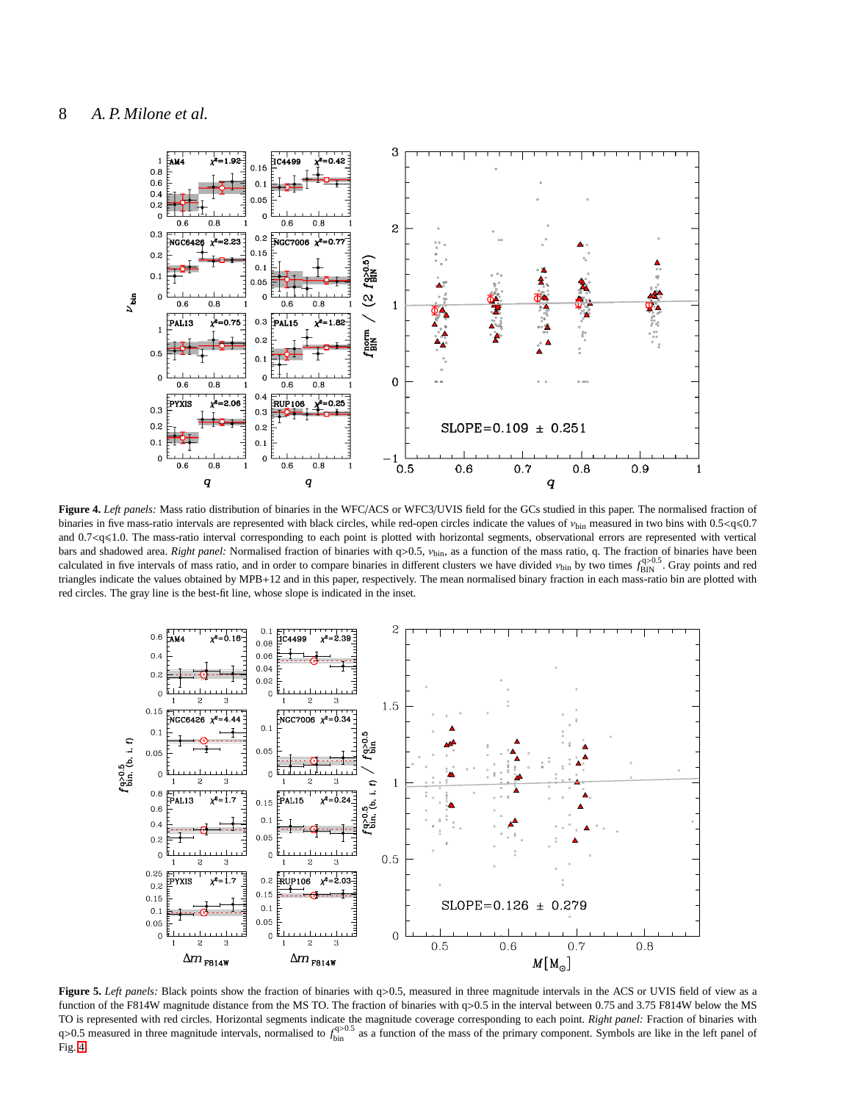

<span id="page-7-0"></span>**Figure 4.** *Left panels:* Mass ratio distribution of binaries in the WFC/ACS or WFC3/UVIS field for the GCs studied in this paper. The normalised fraction of binaries in five mass-ratio intervals are represented with black circles, while red-open circles indicate the values of  $v_{\text{bin}}$  measured in two bins with 0.5<q $\leq$ 0.7 and 0.7<q<1.0. The mass-ratio interval corresponding to each point is plotted with horizontal segments, observational errors are represented with vertical bars and shadowed area. *Right panel:* Normalised fraction of binaries with q>0.5, ν<sub>bin</sub>, as a function of the mass ratio, q. The fraction of binaries have been calculated in five intervals of mass ratio, and in order to compare binaries in different clusters we have divided  $v_{\text{bin}}$  by two times  $f_{\text{BIN}}^{q>0.5}$ . Gray points and red triangles indicate the values obtained by MPB+12 and in this paper, respectively. The mean normalised binary fraction in each mass-ratio bin are plotted with red circles. The gray line is the best-fit line, whose slope is indicated in the inset.



<span id="page-7-1"></span>**Figure 5.** *Left panels:* Black points show the fraction of binaries with q>0.5, measured in three magnitude intervals in the ACS or UVIS field of view as a function of the F814W magnitude distance from the MS TO. The fraction of binaries with q>0.5 in the interval between 0.75 and 3.75 F814W below the MS TO is represented with red circles. Horizontal segments indicate the magnitude coverage corresponding to each point. *Right panel:* Fraction of binaries with  $q>0.5$  measured in three magnitude intervals, normalised to  $f_{\text{bin}}^{q>0.5}$  as a function of the mass of the primary component. Symbols are like in the left panel of Fig. [4.](#page-7-0)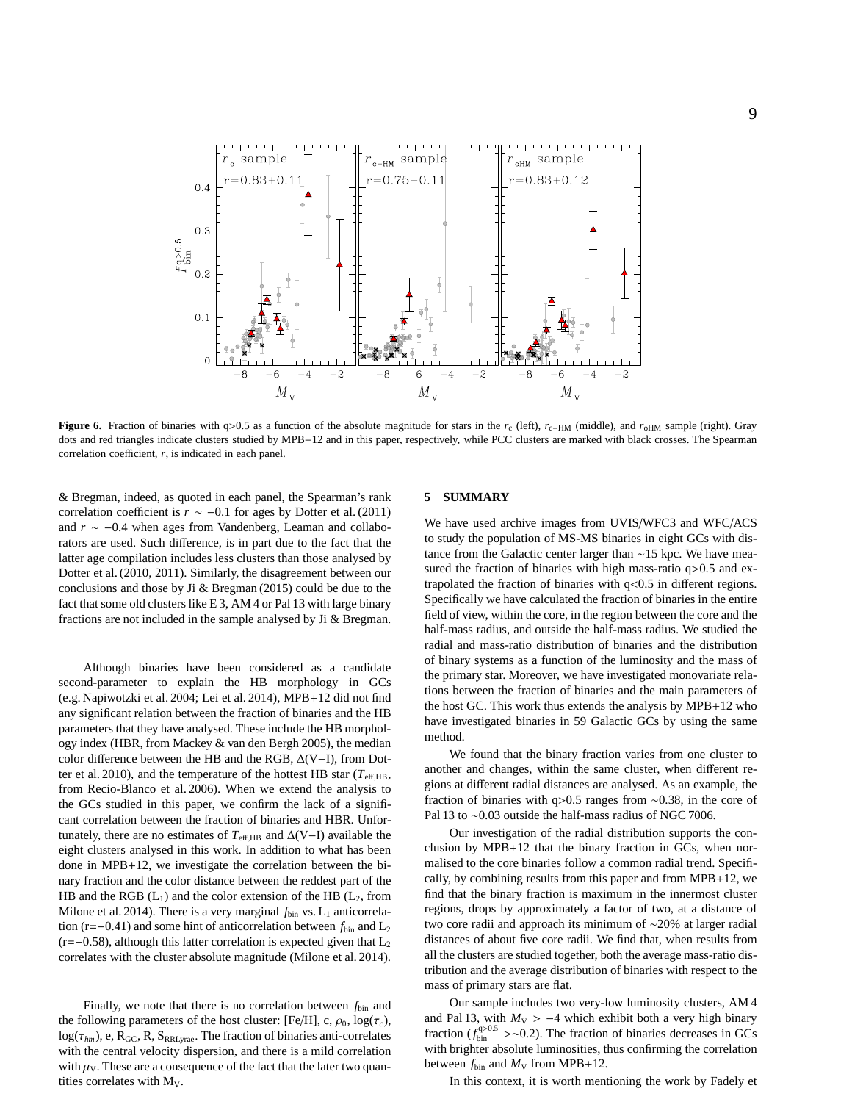

<span id="page-8-0"></span>**Figure 6.** Fraction of binaries with q>0.5 as a function of the absolute magnitude for stars in the  $r_c$  (left),  $r_{c-HM}$  (middle), and  $r_{\text{oHM}}$  sample (right). Gray dots and red triangles indicate clusters studied by MPB+12 and in this paper, respectively, while PCC clusters are marked with black crosses. The Spearman correlation coefficient, *r*, is indicated in each panel.

& Bregman, indeed, as quoted in each panel, the Spearman's rank correlation coefficient is  $r \sim -0.1$  for ages by Dotter et al. (2011) and *r* ∼ −0.4 when ages from Vandenberg, Leaman and collaborators are used. Such difference, is in part due to the fact that the latter age compilation includes less clusters than those analysed by Dotter et al. (2010, 2011). Similarly, the disagreement between our conclusions and those by Ji & Bregman (2015) could be due to the fact that some old clusters like E 3, AM 4 or Pal 13 with large binary fractions are not included in the sample analysed by Ji & Bregman.

Although binaries have been considered as a candidate second-parameter to explain the HB morphology in GCs (e.g. Napiwotzki et al. 2004; Lei et al. 2014), MPB+12 did not find any significant relation between the fraction of binaries and the HB parameters that they have analysed. These include the HB morphology index (HBR, from Mackey & van den Bergh 2005), the median color difference between the HB and the RGB, ∆(V−I), from Dotter et al. 2010), and the temperature of the hottest HB star ( $T_{\text{eff,HB}}$ , from Recio-Blanco et al. 2006). When we extend the analysis to the GCs studied in this paper, we confirm the lack of a significant correlation between the fraction of binaries and HBR. Unfortunately, there are no estimates of  $T_{\text{eff,HB}}$  and  $\Delta(V-I)$  available the eight clusters analysed in this work. In addition to what has been done in MPB+12, we investigate the correlation between the binary fraction and the color distance between the reddest part of the HB and the RGB  $(L_1)$  and the color extension of the HB  $(L_2,$  from Milone et al. 2014). There is a very marginal  $f_{\text{bin}}$  vs. L<sub>1</sub> anticorrelation (r=−0.41) and some hint of anticorrelation between *f*bin and L<sup>2</sup>  $(r=-0.58)$ , although this latter correlation is expected given that L<sub>2</sub> correlates with the cluster absolute magnitude (Milone et al. 2014).

Finally, we note that there is no correlation between  $f_{\text{bin}}$  and the following parameters of the host cluster: [Fe/H], c,  $\rho_0$ , log( $\tau_c$ ),  $log(\tau_{hm})$ , e,  $R_{GC}$ , R,  $S_{RRLyrae}$ . The fraction of binaries anti-correlates with the central velocity dispersion, and there is a mild correlation with  $\mu_V$ . These are a consequence of the fact that the later two quantities correlates with  $M_V$ .

## **5 SUMMARY**

We have used archive images from UVIS/WFC3 and WFC/ACS to study the population of MS-MS binaries in eight GCs with distance from the Galactic center larger than ∼15 kpc. We have measured the fraction of binaries with high mass-ratio q>0.5 and extrapolated the fraction of binaries with q<0.5 in different regions. Specifically we have calculated the fraction of binaries in the entire field of view, within the core, in the region between the core and the half-mass radius, and outside the half-mass radius. We studied the radial and mass-ratio distribution of binaries and the distribution of binary systems as a function of the luminosity and the mass of the primary star. Moreover, we have investigated monovariate relations between the fraction of binaries and the main parameters of the host GC. This work thus extends the analysis by MPB+12 who have investigated binaries in 59 Galactic GCs by using the same method.

We found that the binary fraction varies from one cluster to another and changes, within the same cluster, when different regions at different radial distances are analysed. As an example, the fraction of binaries with q>0.5 ranges from ∼0.38, in the core of Pal 13 to ∼0.03 outside the half-mass radius of NGC 7006.

Our investigation of the radial distribution supports the conclusion by MPB+12 that the binary fraction in GCs, when normalised to the core binaries follow a common radial trend. Specifically, by combining results from this paper and from MPB+12, we find that the binary fraction is maximum in the innermost cluster regions, drops by approximately a factor of two, at a distance of two core radii and approach its minimum of ∼20% at larger radial distances of about five core radii. We find that, when results from all the clusters are studied together, both the average mass-ratio distribution and the average distribution of binaries with respect to the mass of primary stars are flat.

Our sample includes two very-low luminosity clusters, AM 4 and Pal 13, with  $M_V > -4$  which exhibit both a very high binary fraction ( $f_{\text{bin}}^{q>0.5}$  >∼0.2). The fraction of binaries decreases in GCs with brighter absolute luminosities, thus confirming the correlation between  $f_{\text{bin}}$  and  $M_{\text{V}}$  from MPB+12.

In this context, it is worth mentioning the work by Fadely et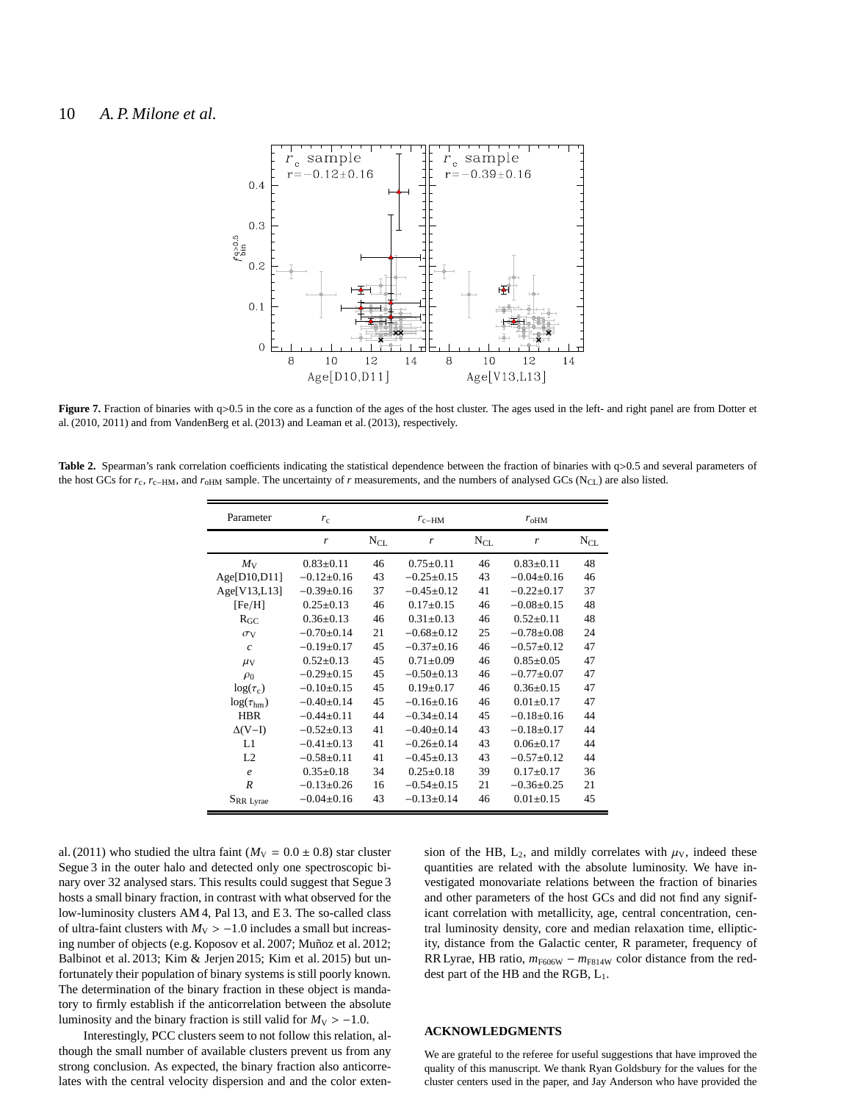## 10 *A. P. Milone et al.*



<span id="page-9-0"></span>**Figure 7.** Fraction of binaries with q>0.5 in the core as a function of the ages of the host cluster. The ages used in the left- and right panel are from Dotter et al. (2010, 2011) and from VandenBerg et al. (2013) and Leaman et al. (2013), respectively.

Table 2. Spearman's rank correlation coefficients indicating the statistical dependence between the fraction of binaries with q>0.5 and several parameters of the host GCs for *r<sub>c</sub>*, *r<sub>c−HM</sub>*, and *r<sub>oHM</sub>* sample. The uncertainty of *r* measurements, and the numbers of analysed GCs (N<sub>CL</sub>) are also listed.

| Parameter             | $r_{c}$          | $r_{c-HM}$ |                 | $r_{\text{oHM}}$ |                  |                 |
|-----------------------|------------------|------------|-----------------|------------------|------------------|-----------------|
|                       | r                | $N_{CL}$   | r               | $N_{\text{CL}}$  | r                | $N_{\text{CL}}$ |
| $M_{\rm V}$           | $0.83 \pm 0.11$  | 46         | $0.75 \pm 0.11$ | 46               | $0.83 \pm 0.11$  | 48              |
| Age[D10,D11]          | $-0.12\pm0.16$   | 43         | $-0.25\pm0.15$  | 43               | $-0.04+0.16$     | 46              |
| Age[V13,L13]          | $-0.39+0.16$     | 37         | $-0.45\pm0.12$  | 41               | $-0.22 \pm 0.17$ | 37              |
| [Fe/H]                | $0.25 \pm 0.13$  | 46         | $0.17+0.15$     | 46               | $-0.08\pm0.15$   | 48              |
| $R_{GC}$              | $0.36 \pm 0.13$  | 46         | $0.31 \pm 0.13$ | 46               | $0.52 \pm 0.11$  | 48              |
| $\sigma$ <sub>V</sub> | $-0.70\pm0.14$   | 21         | $-0.68\pm0.12$  | 25               | $-0.78 \pm 0.08$ | 24              |
| $\mathcal{C}$         | $-0.19\pm0.17$   | 45         | $-0.37+0.16$    | 46               | $-0.57+0.12$     | 47              |
| $\mu$ <sub>V</sub>    | $0.52 \pm 0.13$  | 45         | $0.71 \pm 0.09$ | 46               | $0.85 \pm 0.05$  | 47              |
| $\rho_0$              | $-0.29 \pm 0.15$ | 45         | $-0.50+0.13$    | 46               | $-0.77 + 0.07$   | 47              |
| $log(\tau_c)$         | $-0.10\pm0.15$   | 45         | $0.19 \pm 0.17$ | 46               | $0.36 \pm 0.15$  | 47              |
| $log(\tau_{hm})$      | $-0.40\pm0.14$   | 45         | $-0.16+0.16$    | 46               | $0.01 + 0.17$    | 47              |
| <b>HBR</b>            | $-0.44\pm0.11$   | 44         | $-0.34\pm0.14$  | 45               | $-0.18+0.16$     | 44              |
| $\Delta(V-I)$         | $-0.52\pm0.13$   | 41         | $-0.40\pm0.14$  | 43               | $-0.18+0.17$     | 44              |
| L1                    | $-0.41 \pm 0.13$ | 41         | $-0.26\pm0.14$  | 43               | $0.06 \pm 0.17$  | 44              |
| L2                    | $-0.58 \pm 0.11$ | 41         | $-0.45+0.13$    | 43               | $-0.57+0.12$     | 44              |
| $\boldsymbol{e}$      | $0.35 \pm 0.18$  | 34         | $0.25 \pm 0.18$ | 39               | $0.17 \pm 0.17$  | 36              |
| R                     | $-0.13 \pm 0.26$ | 16         | $-0.54\pm0.15$  | 21               | $-0.36\pm0.25$   | 21              |
| SRR Lyrae             | $-0.04\pm0.16$   | 43         | $-0.13\pm0.14$  | 46               | $0.01 \pm 0.15$  | 45              |

al. (2011) who studied the ultra faint ( $M_V = 0.0 \pm 0.8$ ) star cluster Segue 3 in the outer halo and detected only one spectroscopic binary over 32 analysed stars. This results could suggest that Segue 3 hosts a small binary fraction, in contrast with what observed for the low-luminosity clusters AM 4, Pal 13, and E 3. The so-called class of ultra-faint clusters with  $M_V > -1.0$  includes a small but increasing number of objects (e.g. Koposov et al. 2007; Muñoz et al. 2012; Balbinot et al. 2013; Kim & Jerjen 2015; Kim et al. 2015) but unfortunately their population of binary systems is still poorly known. The determination of the binary fraction in these object is mandatory to firmly establish if the anticorrelation between the absolute luminosity and the binary fraction is still valid for  $M_V > -1.0$ .

sion of the HB,  $L_2$ , and mildly correlates with  $\mu<sub>V</sub>$ , indeed these quantities are related with the absolute luminosity. We have investigated monovariate relations between the fraction of binaries and other parameters of the host GCs and did not find any significant correlation with metallicity, age, central concentration, central luminosity density, core and median relaxation time, ellipticity, distance from the Galactic center, R parameter, frequency of RR Lyrae, HB ratio,  $m_{F606W} - m_{F814W}$  color distance from the reddest part of the HB and the RGB, L1.

Interestingly, PCC clusters seem to not follow this relation, although the small number of available clusters prevent us from any strong conclusion. As expected, the binary fraction also anticorrelates with the central velocity dispersion and and the color exten-

## **ACKNOWLEDGMENTS**

We are grateful to the referee for useful suggestions that have improved the quality of this manuscript. We thank Ryan Goldsbury for the values for the cluster centers used in the paper, and Jay Anderson who have provided the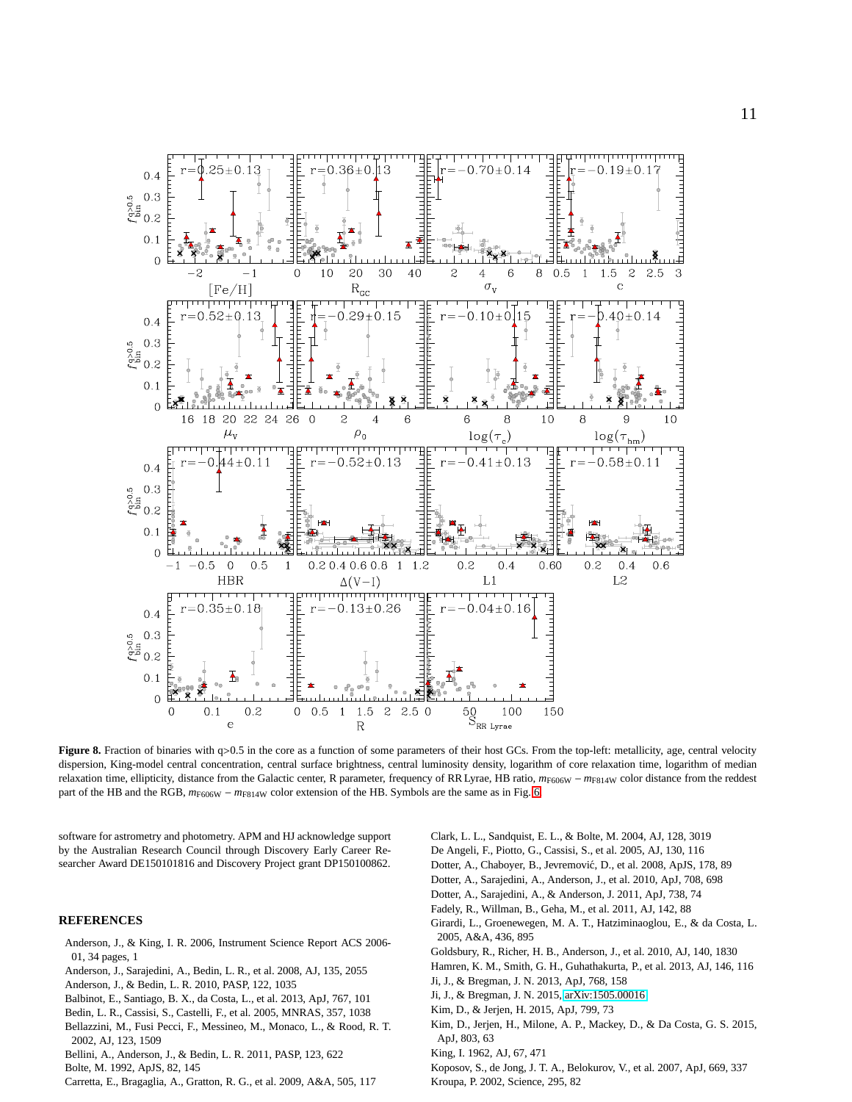

<span id="page-10-0"></span>**Figure 8.** Fraction of binaries with q>0.5 in the core as a function of some parameters of their host GCs. From the top-left: metallicity, age, central velocity dispersion, King-model central concentration, central surface brightness, central luminosity density, logarithm of core relaxation time, logarithm of median relaxation time, ellipticity, distance from the Galactic center, R parameter, frequency of RR Lyrae, HB ratio, *m*F606W − *m*F814W color distance from the reddest part of the HB and the RGB,  $m_{F606W} - m_{F814W}$  color extension of the HB. Symbols are the same as in Fig. [6.](#page-8-0)

software for astrometry and photometry. APM and HJ acknowledge support by the Australian Research Council through Discovery Early Career Researcher Award DE150101816 and Discovery Project grant DP150100862.

## **REFERENCES**

- Anderson, J., & King, I. R. 2006, Instrument Science Report ACS 2006- 01, 34 pages, 1
- Anderson, J., Sarajedini, A., Bedin, L. R., et al. 2008, AJ, 135, 2055
- Anderson, J., & Bedin, L. R. 2010, PASP, 122, 1035
- Balbinot, E., Santiago, B. X., da Costa, L., et al. 2013, ApJ, 767, 101
- Bedin, L. R., Cassisi, S., Castelli, F., et al. 2005, MNRAS, 357, 1038 Bellazzini, M., Fusi Pecci, F., Messineo, M., Monaco, L., & Rood, R. T. 2002, AJ, 123, 1509
- Bellini, A., Anderson, J., & Bedin, L. R. 2011, PASP, 123, 622
- Bolte, M. 1992, ApJS, 82, 145
- Carretta, E., Bragaglia, A., Gratton, R. G., et al. 2009, A&A, 505, 117
- Clark, L. L., Sandquist, E. L., & Bolte, M. 2004, AJ, 128, 3019 De Angeli, F., Piotto, G., Cassisi, S., et al. 2005, AJ, 130, 116 Dotter, A., Chaboyer, B., Jevremović, D., et al. 2008, ApJS, 178, 89 Dotter, A., Sarajedini, A., Anderson, J., et al. 2010, ApJ, 708, 698 Dotter, A., Sarajedini, A., & Anderson, J. 2011, ApJ, 738, 74 Fadely, R., Willman, B., Geha, M., et al. 2011, AJ, 142, 88 Girardi, L., Groenewegen, M. A. T., Hatziminaoglou, E., & da Costa, L. 2005, A&A, 436, 895 Goldsbury, R., Richer, H. B., Anderson, J., et al. 2010, AJ, 140, 1830 Hamren, K. M., Smith, G. H., Guhathakurta, P., et al. 2013, AJ, 146, 116 Ji, J., & Bregman, J. N. 2013, ApJ, 768, 158 Ji, J., & Bregman, J. N. 2015, [arXiv:1505.00016](http://arxiv.org/abs/1505.00016) Kim, D., & Jerjen, H. 2015, ApJ, 799, 73 Kim, D., Jerjen, H., Milone, A. P., Mackey, D., & Da Costa, G. S. 2015, ApJ, 803, 63 King, I. 1962, AJ, 67, 471
- Koposov, S., de Jong, J. T. A., Belokurov, V., et al. 2007, ApJ, 669, 337 Kroupa, P. 2002, Science, 295, 82